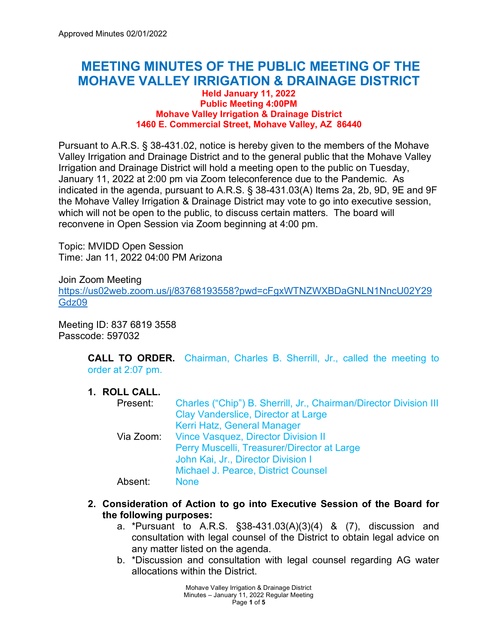# **MEETING MINUTES OF THE PUBLIC MEETING OF THE MOHAVE VALLEY IRRIGATION & DRAINAGE DISTRICT**

#### **Held January 11, 2022 Public Meeting 4:00PM Mohave Valley Irrigation & Drainage District 1460 E. Commercial Street, Mohave Valley, AZ 86440**

Pursuant to A.R.S. § 38-431.02, notice is hereby given to the members of the Mohave Valley Irrigation and Drainage District and to the general public that the Mohave Valley Irrigation and Drainage District will hold a meeting open to the public on Tuesday, January 11, 2022 at 2:00 pm via Zoom teleconference due to the Pandemic. As indicated in the agenda, pursuant to A.R.S. § 38-431.03(A) Items 2a, 2b, 9D, 9E and 9F the Mohave Valley Irrigation & Drainage District may vote to go into executive session, which will not be open to the public, to discuss certain matters. The board will reconvene in Open Session via Zoom beginning at 4:00 pm.

Topic: MVIDD Open Session Time: Jan 11, 2022 04:00 PM Arizona

Join Zoom Meeting

[https://us02web.zoom.us/j/83768193558?pwd=cFgxWTNZWXBDaGNLN1NncU02Y29](https://us02web.zoom.us/j/83768193558?pwd=cFgxWTNZWXBDaGNLN1NncU02Y29Gdz09) [Gdz09](https://us02web.zoom.us/j/83768193558?pwd=cFgxWTNZWXBDaGNLN1NncU02Y29Gdz09)

Meeting ID: 837 6819 3558 Passcode: 597032

> **CALL TO ORDER.** Chairman, Charles B. Sherrill, Jr., called the meeting to order at 2:07 pm.

### **1. ROLL CALL.**

| Present: | Charles ("Chip") B. Sherrill, Jr., Chairman/Director Division III |
|----------|-------------------------------------------------------------------|
|          | <b>Clay Vanderslice, Director at Large</b>                        |
|          | Kerri Hatz, General Manager                                       |
|          | Via Zoom: Vince Vasquez, Director Division II                     |
|          | Perry Muscelli, Treasurer/Director at Large                       |
|          | John Kai, Jr., Director Division I                                |
|          | <b>Michael J. Pearce, District Counsel</b>                        |
| Absent:  | <b>None</b>                                                       |

- **2. Consideration of Action to go into Executive Session of the Board for the following purposes:** 
	- a. \*Pursuant to A.R.S. §38-431.03(A)(3)(4) & (7), discussion and consultation with legal counsel of the District to obtain legal advice on any matter listed on the agenda.
	- b. \*Discussion and consultation with legal counsel regarding AG water allocations within the District.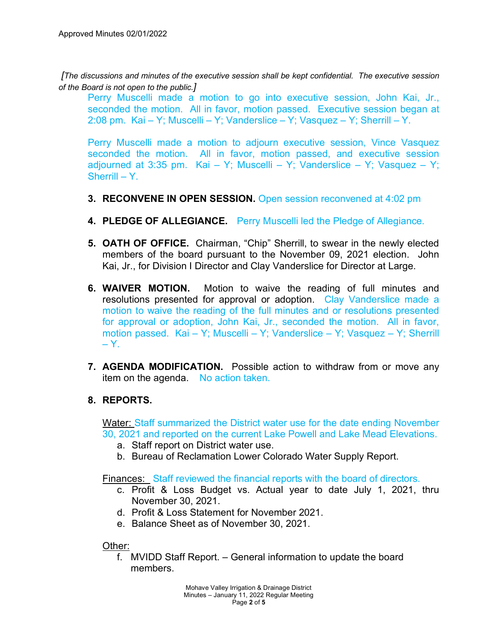*[The discussions and minutes of the executive session shall be kept confidential. The executive session of the Board is not open to the public.]*

Perry Muscelli made a motion to go into executive session, John Kai, Jr., seconded the motion. All in favor, motion passed. Executive session began at 2:08 pm. Kai – Y; Muscelli – Y; Vanderslice – Y; Vasquez – Y; Sherrill – Y.

Perry Muscelli made a motion to adjourn executive session, Vince Vasquez seconded the motion. All in favor, motion passed, and executive session adjourned at 3:35 pm. Kai – Y; Muscelli – Y; Vanderslice – Y; Vasquez – Y; Sherrill – Y.

- **3. RECONVENE IN OPEN SESSION.** Open session reconvened at 4:02 pm
- **4. PLEDGE OF ALLEGIANCE.** Perry Muscelli led the Pledge of Allegiance.
- **5. OATH OF OFFICE.** Chairman, "Chip" Sherrill, to swear in the newly elected members of the board pursuant to the November 09, 2021 election. John Kai, Jr., for Division I Director and Clay Vanderslice for Director at Large.
- **6. WAIVER MOTION.** Motion to waive the reading of full minutes and resolutions presented for approval or adoption. Clay Vanderslice made a motion to waive the reading of the full minutes and or resolutions presented for approval or adoption, John Kai, Jr., seconded the motion. All in favor, motion passed. Kai – Y; Muscelli – Y; Vanderslice – Y; Vasquez – Y; Sherrill  $- Y.$
- **7. AGENDA MODIFICATION.** Possible action to withdraw from or move any item on the agenda. No action taken.

### **8. REPORTS.**

Water: Staff summarized the District water use for the date ending November 30, 2021 and reported on the current Lake Powell and Lake Mead Elevations.

- a. Staff report on District water use.
- b. Bureau of Reclamation Lower Colorado Water Supply Report.

Finances: Staff reviewed the financial reports with the board of directors.

- c. Profit & Loss Budget vs. Actual year to date July 1, 2021, thru November 30, 2021.
- d. Profit & Loss Statement for November 2021.
- e. Balance Sheet as of November 30, 2021.

#### Other:

f. MVIDD Staff Report. – General information to update the board members.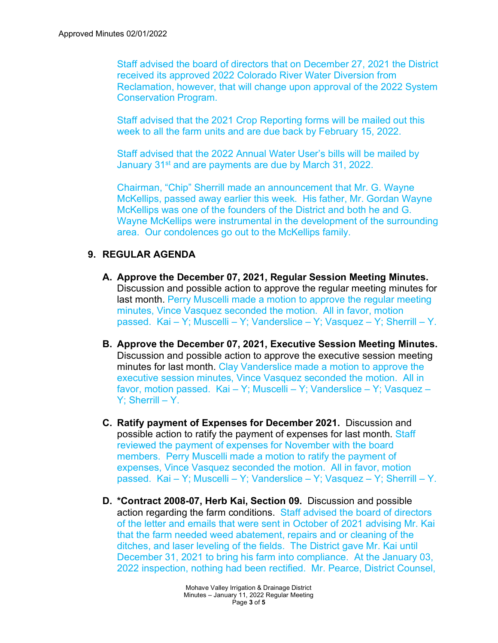Staff advised the board of directors that on December 27, 2021 the District received its approved 2022 Colorado River Water Diversion from Reclamation, however, that will change upon approval of the 2022 System Conservation Program.

Staff advised that the 2021 Crop Reporting forms will be mailed out this week to all the farm units and are due back by February 15, 2022.

Staff advised that the 2022 Annual Water User's bills will be mailed by January 31<sup>st</sup> and are payments are due by March 31, 2022.

Chairman, "Chip" Sherrill made an announcement that Mr. G. Wayne McKellips, passed away earlier this week. His father, Mr. Gordan Wayne McKellips was one of the founders of the District and both he and G. Wayne McKellips were instrumental in the development of the surrounding area. Our condolences go out to the McKellips family.

## **9. REGULAR AGENDA**

- **A. Approve the December 07, 2021, Regular Session Meeting Minutes.**  Discussion and possible action to approve the regular meeting minutes for last month. Perry Muscelli made a motion to approve the regular meeting minutes, Vince Vasquez seconded the motion. All in favor, motion passed. Kai – Y; Muscelli – Y; Vanderslice – Y; Vasquez – Y; Sherrill – Y.
- **B. Approve the December 07, 2021, Executive Session Meeting Minutes.** Discussion and possible action to approve the executive session meeting minutes for last month. Clay Vanderslice made a motion to approve the executive session minutes, Vince Vasquez seconded the motion. All in favor, motion passed. Kai – Y; Muscelli – Y; Vanderslice – Y; Vasquez – Y; Sherrill – Y.
- **C. Ratify payment of Expenses for December 2021.** Discussion and possible action to ratify the payment of expenses for last month. Staff reviewed the payment of expenses for November with the board members. Perry Muscelli made a motion to ratify the payment of expenses, Vince Vasquez seconded the motion. All in favor, motion passed. Kai – Y; Muscelli – Y; Vanderslice – Y; Vasquez – Y; Sherrill – Y.
- **D. \*Contract 2008-07, Herb Kai, Section 09.** Discussion and possible action regarding the farm conditions. Staff advised the board of directors of the letter and emails that were sent in October of 2021 advising Mr. Kai that the farm needed weed abatement, repairs and or cleaning of the ditches, and laser leveling of the fields. The District gave Mr. Kai until December 31, 2021 to bring his farm into compliance. At the January 03, 2022 inspection, nothing had been rectified. Mr. Pearce, District Counsel,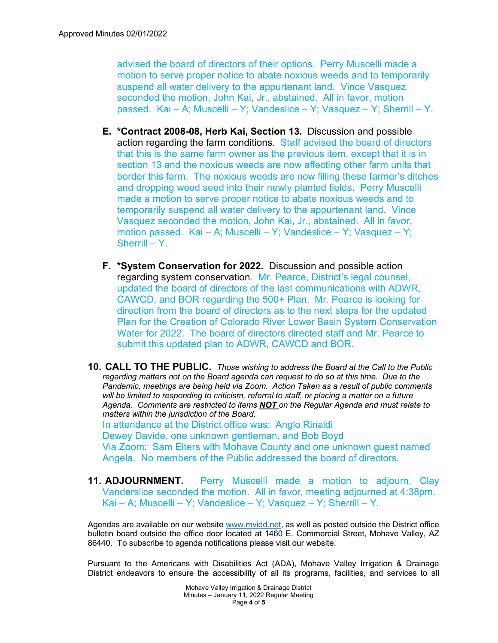advised the board of directors of their options. Perry Muscelli made a motion to serve proper notice to abate noxious weeds and to temporarily suspend all water delivery to the appurtenant land. Vince Vasquez seconded the motion, John Kai, Jr., abstained. All in favor, motion passed. Kai – A; Muscelli – Y; Vandeslice – Y; Vasquez – Y; Sherrill – Y.

- **E. \*Contract 2008-08, Herb Kai, Section 13.** Discussion and possible action regarding the farm conditions.Staff advised the board of directors that this is the same farm owner as the previous item, except that it is in section 13 and the noxious weeds are now affecting other farm units that border this farm. The noxious weeds are now filling these farmer's ditches and dropping weed seed into their newly planted fields. Perry Muscelli made a motion to serve proper notice to abate noxious weeds and to temporarily suspend all water delivery to the appurtenant land. Vince Vasquez seconded the motion, John Kai, Jr., abstained. All in favor, motion passed. Kai – A; Muscelli – Y; Vandeslice – Y; Vasquez – Y; Sherrill – Y.
- **F. \*System Conservation for 2022.** Discussion and possible action regarding system conservation. Mr. Pearce, District's legal counsel, updated the board of directors of the last communications with ADWR, CAWCD, and BOR regarding the 500+ Plan. Mr. Pearce is looking for direction from the board of directors as to the next steps for the updated Plan for the Creation of Colorado River Lower Basin System Conservation Water for 2022. The board of directors directed staff and Mr. Pearce to submit this updated plan to ADWR, CAWCD and BOR.
- **10. CALL TO THE PUBLIC.** *Those wishing to address the Board at the Call to the Public regarding matters not on the Board agenda can request to do so at this time. Due to the Pandemic, meetings are being held via Zoom. Action Taken as a result of public comments*  will be limited to responding to criticism, referral to staff, or placing a matter on a future *Agenda. Comments are restricted to items NOT on the Regular Agenda and must relate to matters within the jurisdiction of the Board.*

In attendance at the District office was: Anglo Rinaldi

Dewey Davide, one unknown gentleman, and Bob Boyd

Via Zoom: Sam Elters with Mohave County and one unknown guest named Angela. No members of the Public addressed the board of directors.

**11. ADJOURNMENT.** Perry Muscelli made a motion to adjourn, Clay Vanderslice seconded the motion. All in favor, meeting adjourned at 4:38pm. Kai – A; Muscelli – Y; Vandeslice – Y; Vasquez – Y; Sherrill – Y.

Agendas are available on our website [www.mvidd.net,](http://www.mvidd.net/) as well as posted outside the District office bulletin board outside the office door located at 1460 E. Commercial Street, Mohave Valley, AZ 86440. To subscribe to agenda notifications please visit our website.

Pursuant to the Americans with Disabilities Act (ADA), Mohave Valley Irrigation & Drainage District endeavors to ensure the accessibility of all its programs, facilities, and services to all